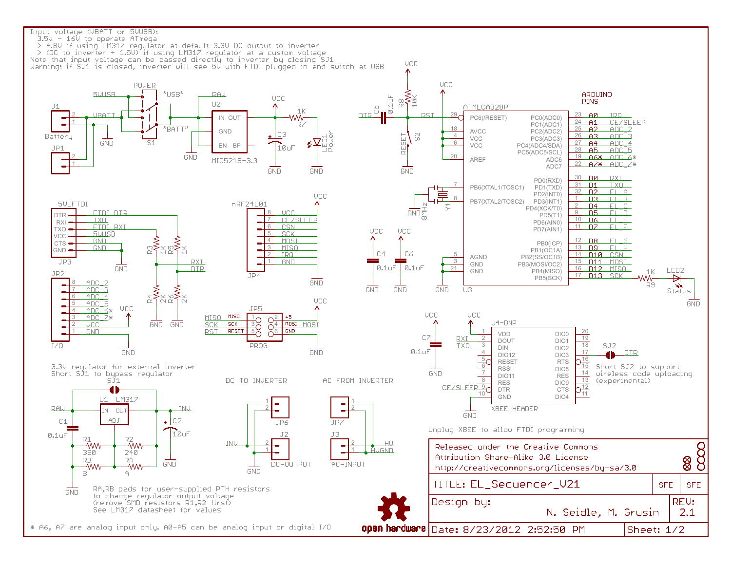